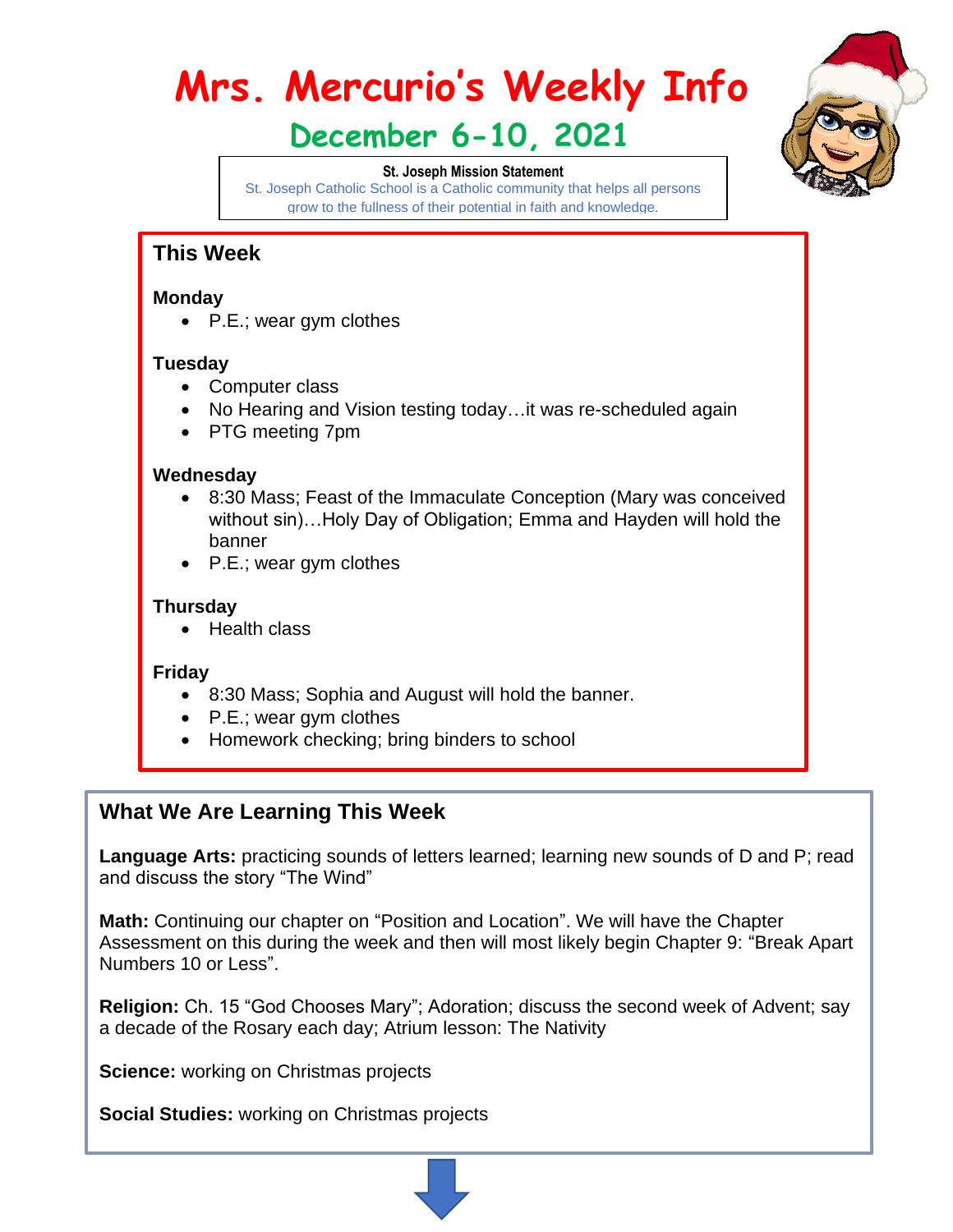# **Mrs. Mercurio's Weekly Info**

# **December 6-10, 2021**

#### **St. Joseph Mission Statement**



St. Joseph Catholic School is a Catholic community that helps all persons grow to the fullness of their potential in faith and knowledge.

# **This Week**

#### **Monday**

• P.E.; wear gym clothes

#### **Tuesday**

- Computer class
- No Hearing and Vision testing today...it was re-scheduled again
- PTG meeting 7pm

#### **Wednesday**

- 8:30 Mass; Feast of the Immaculate Conception (Mary was conceived without sin)…Holy Day of Obligation; Emma and Hayden will hold the banner
- P.E.; wear gym clothes

#### **Thursday**

• Health class

#### **Friday**

- 8:30 Mass; Sophia and August will hold the banner.
- P.E.; wear gym clothes
- Homework checking; bring binders to school

## **What We Are Learning This Week**

Language Arts: practicing sounds of letters learned; learning new sounds of D and P; read and discuss the story "The Wind"

**Math:** Continuing our chapter on "Position and Location". We will have the Chapter Assessment on this during the week and then will most likely begin Chapter 9: "Break Apart Numbers 10 or Less".

**Religion:** Ch. 15 "God Chooses Mary"; Adoration; discuss the second week of Advent; say a decade of the Rosary each day; Atrium lesson: The Nativity

**Science:** working on Christmas projects

**Social Studies:** working on Christmas projects